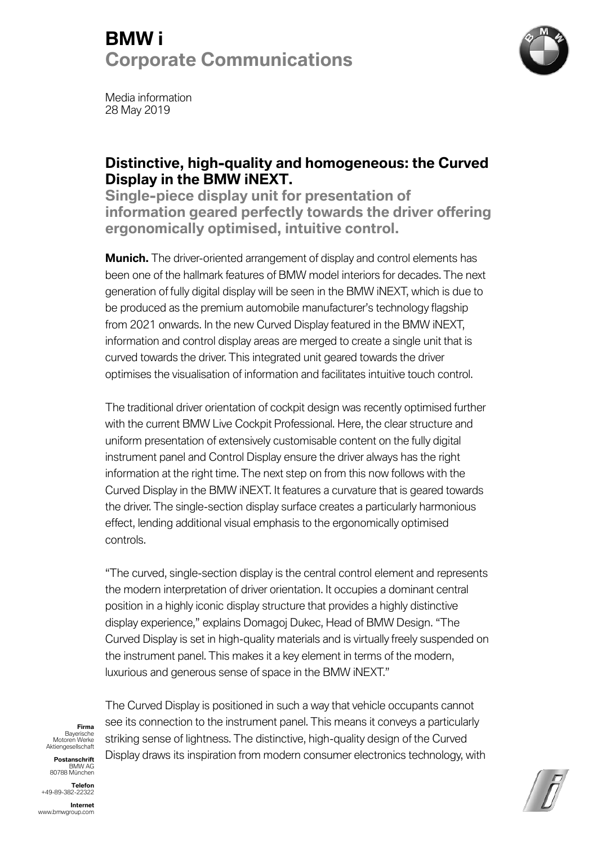# **BMW i Corporate Communications**



Media information 28 May 2019

### **Distinctive, high-quality and homogeneous: the Curved Display in the BMW iNEXT.**

**Single-piece display unit for presentation of information geared perfectly towards the driver offering ergonomically optimised, intuitive control.** 

**Munich.** The driver-oriented arrangement of display and control elements has been one of the hallmark features of BMW model interiors for decades. The next generation of fully digital display will be seen in the BMW iNEXT, which is due to be produced as the premium automobile manufacturer's technology flagship from 2021 onwards. In the new Curved Display featured in the BMW iNEXT, information and control display areas are merged to create a single unit that is curved towards the driver. This integrated unit geared towards the driver optimises the visualisation of information and facilitates intuitive touch control.

The traditional driver orientation of cockpit design was recently optimised further with the current BMW Live Cockpit Professional. Here, the clear structure and uniform presentation of extensively customisable content on the fully digital instrument panel and Control Display ensure the driver always has the right information at the right time. The next step on from this now follows with the Curved Display in the BMW iNEXT. It features a curvature that is geared towards the driver. The single-section display surface creates a particularly harmonious effect, lending additional visual emphasis to the ergonomically optimised controls.

"The curved, single-section display is the central control element and represents the modern interpretation of driver orientation. It occupies a dominant central position in a highly iconic display structure that provides a highly distinctive display experience," explains Domagoj Dukec, Head of BMW Design. "The Curved Display is set in high-quality materials and is virtually freely suspended on the instrument panel. This makes it a key element in terms of the modern, luxurious and generous sense of space in the BMW iNEXT."

**Firma** Bayerische Motoren Werke Aktiengesellschaft

**Postanschrift**  BMW AG 80788 München

**Telefon**  +49-89-382-22322

**Internet**  www.bmwgroup.com

The Curved Display is positioned in such a way that vehicle occupants cannot see its connection to the instrument panel. This means it conveys a particularly striking sense of lightness. The distinctive, high-quality design of the Curved Display draws its inspiration from modern consumer electronics technology, with

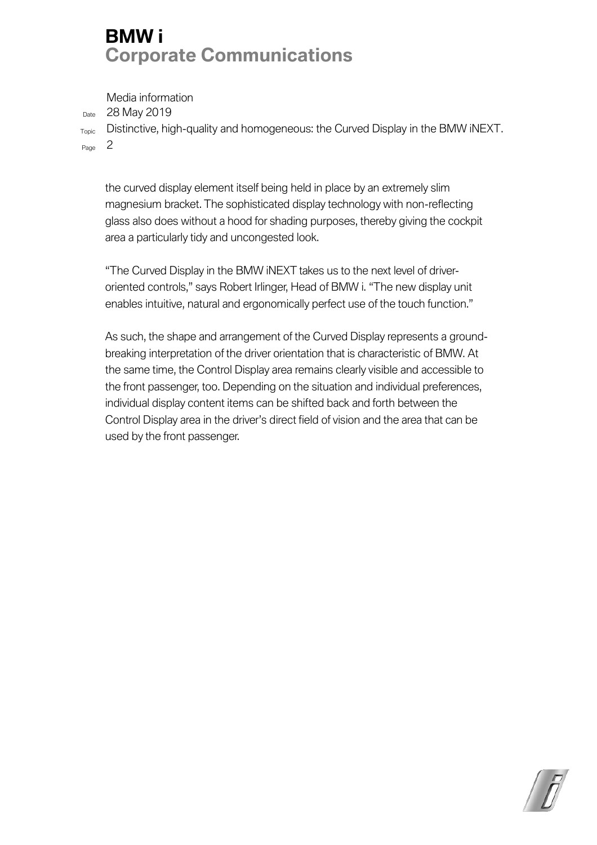## **BMW i Corporate Communications**

Media information

Date 28 May 2019

Topic Distinctive, high-quality and homogeneous: the Curved Display in the BMW iNEXT. Page 2

the curved display element itself being held in place by an extremely slim magnesium bracket. The sophisticated display technology with non-reflecting glass also does without a hood for shading purposes, thereby giving the cockpit area a particularly tidy and uncongested look.

"The Curved Display in the BMW iNEXT takes us to the next level of driveroriented controls," says Robert Irlinger, Head of BMW i. "The new display unit enables intuitive, natural and ergonomically perfect use of the touch function."

As such, the shape and arrangement of the Curved Display represents a groundbreaking interpretation of the driver orientation that is characteristic of BMW. At the same time, the Control Display area remains clearly visible and accessible to the front passenger, too. Depending on the situation and individual preferences, individual display content items can be shifted back and forth between the Control Display area in the driver's direct field of vision and the area that can be used by the front passenger.